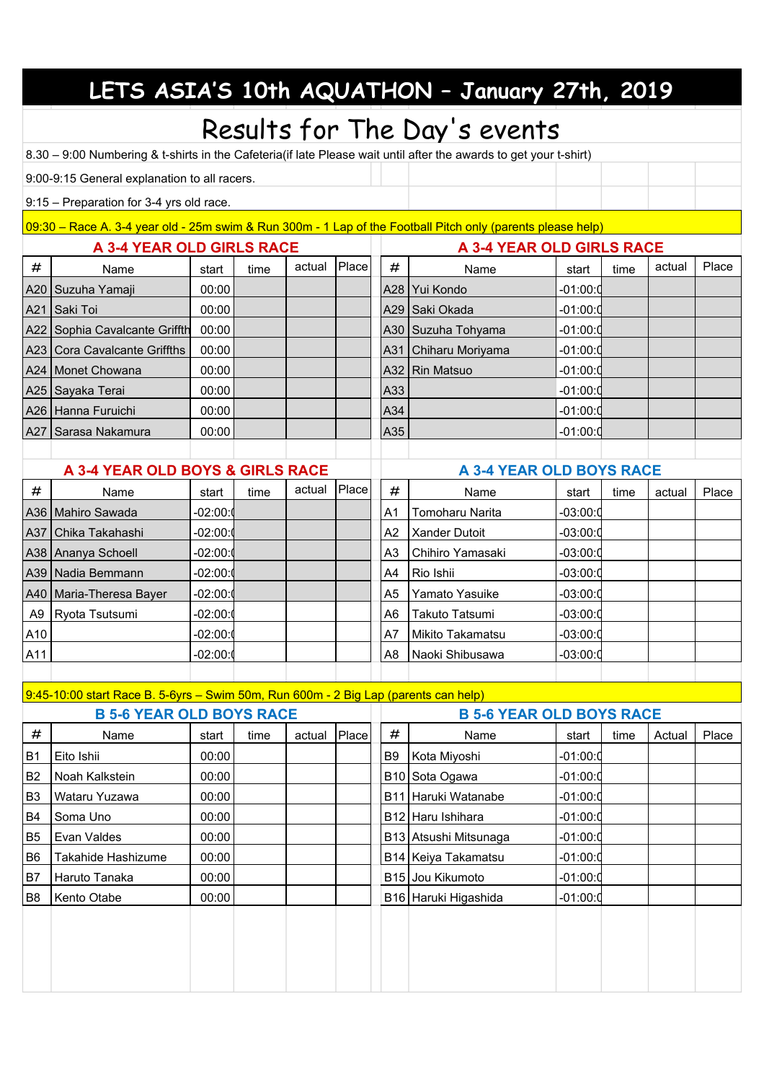|                                                                                                                    |                                                                                                             |            |      |        |       |                           | LETS ASIA'S 10th AQUATHON - January 27th, 2019 |            |      |        |       |  |  |
|--------------------------------------------------------------------------------------------------------------------|-------------------------------------------------------------------------------------------------------------|------------|------|--------|-------|---------------------------|------------------------------------------------|------------|------|--------|-------|--|--|
|                                                                                                                    |                                                                                                             |            |      |        |       |                           |                                                |            |      |        |       |  |  |
| Results for The Day's events                                                                                       |                                                                                                             |            |      |        |       |                           |                                                |            |      |        |       |  |  |
| 8.30 - 9:00 Numbering & t-shirts in the Cafeteria (if late Please wait until after the awards to get your t-shirt) |                                                                                                             |            |      |        |       |                           |                                                |            |      |        |       |  |  |
|                                                                                                                    | 9:00-9:15 General explanation to all racers.                                                                |            |      |        |       |                           |                                                |            |      |        |       |  |  |
|                                                                                                                    | 9:15 - Preparation for 3-4 yrs old race.                                                                    |            |      |        |       |                           |                                                |            |      |        |       |  |  |
|                                                                                                                    | 09:30 - Race A. 3-4 year old - 25m swim & Run 300m - 1 Lap of the Football Pitch only (parents please help) |            |      |        |       |                           |                                                |            |      |        |       |  |  |
| A 3-4 YEAR OLD GIRLS RACE                                                                                          |                                                                                                             |            |      |        |       | A 3-4 YEAR OLD GIRLS RACE |                                                |            |      |        |       |  |  |
| #                                                                                                                  | Name                                                                                                        | start      | time | actual | Place | #                         | Name                                           | start      | time | actual | Place |  |  |
| A20                                                                                                                | Suzuha Yamaji                                                                                               | 00:00      |      |        |       |                           | A28   Yui Kondo                                | -01:00:0   |      |        |       |  |  |
| A21                                                                                                                | Saki Toi                                                                                                    | 00:00      |      |        |       |                           | A29   Saki Okada                               | -01:00:0   |      |        |       |  |  |
| A22                                                                                                                | Sophia Cavalcante Griffth                                                                                   | 00:00      |      |        |       |                           | A30 Suzuha Tohyama                             | -01:00:0   |      |        |       |  |  |
| A23                                                                                                                | <b>Cora Cavalcante Griffths</b>                                                                             | 00:00      |      |        |       |                           | A31 Chiharu Moriyama                           | -01:00:0   |      |        |       |  |  |
| A24                                                                                                                | Monet Chowana                                                                                               | 00:00      |      |        |       |                           | A32   Rin Matsuo                               | -01:00:0   |      |        |       |  |  |
| A25                                                                                                                | Sayaka Terai                                                                                                | 00:00      |      |        |       | A33                       |                                                | -01:00:0   |      |        |       |  |  |
|                                                                                                                    | A26 Hanna Furuichi                                                                                          | 00:00      |      |        |       | A34                       |                                                | $-01:00:0$ |      |        |       |  |  |
|                                                                                                                    | A27 Sarasa Nakamura                                                                                         | 00:00      |      |        |       | A35                       |                                                | -01:00:0   |      |        |       |  |  |
|                                                                                                                    |                                                                                                             |            |      |        |       |                           |                                                |            |      |        |       |  |  |
| A 3-4 YEAR OLD BOYS & GIRLS RACE                                                                                   |                                                                                                             |            |      |        |       |                           | A 3-4 YEAR OLD BOYS RACE                       |            |      |        |       |  |  |
| #                                                                                                                  | Name                                                                                                        | start      | time | actual | Place | #                         | Name                                           | start      | time | actual | Place |  |  |
| A36.                                                                                                               | Mahiro Sawada                                                                                               | -02:00:0   |      |        |       | Α1                        | Tomoharu Narita                                | -03:00:0   |      |        |       |  |  |
| A37                                                                                                                | Chika Takahashi                                                                                             | -02:00:0   |      |        |       | A <sub>2</sub>            | Xander Dutoit                                  | -03:00:0   |      |        |       |  |  |
| A38                                                                                                                | Ananya Schoell                                                                                              | $-02:00:0$ |      |        |       | A <sub>3</sub>            | Chihiro Yamasaki                               | -03:00:0   |      |        |       |  |  |
| A39                                                                                                                | Nadia Bemmann                                                                                               | -02:00:0   |      |        |       | A4                        | Rio Ishii                                      | -03:00:0   |      |        |       |  |  |
| A40                                                                                                                | Maria-Theresa Bayer                                                                                         | -02:00:0   |      |        |       | A5                        | Yamato Yasuike                                 | -03:00:0   |      |        |       |  |  |
| A9                                                                                                                 | Ryota Tsutsumi                                                                                              | $-02:00:$  |      |        |       | A6                        | Takuto Tatsumi                                 | -03:00:0   |      |        |       |  |  |
| A10                                                                                                                |                                                                                                             | $-02:00:0$ |      |        |       | A7                        | Mikito Takamatsu                               | $-03:00:0$ |      |        |       |  |  |
| A11                                                                                                                |                                                                                                             | -02:00:0   |      |        |       | A <sub>8</sub>            | Naoki Shibusawa                                | $-03:00:0$ |      |        |       |  |  |
|                                                                                                                    |                                                                                                             |            |      |        |       |                           |                                                |            |      |        |       |  |  |
|                                                                                                                    | 9:45-10:00 start Race B. 5-6yrs - Swim 50m, Run 600m - 2 Big Lap (parents can help)                         |            |      |        |       |                           |                                                |            |      |        |       |  |  |
|                                                                                                                    | <b>B 5-6 YEAR OLD BOYS RACE</b>                                                                             |            |      |        |       |                           | <b>B 5-6 YEAR OLD BOYS RACE</b>                |            |      |        |       |  |  |
| #                                                                                                                  | Name                                                                                                        | start      | time | actual | Place | $\#$                      | Name                                           | start      | time | Actual | Place |  |  |
| B1                                                                                                                 | Eito Ishii                                                                                                  | 00:00      |      |        |       | B9                        | Kota Miyoshi                                   | $-01:00:0$ |      |        |       |  |  |
| B <sub>2</sub>                                                                                                     | Noah Kalkstein                                                                                              | 00:00      |      |        |       |                           | B <sub>10</sub> Sota Ogawa                     | $-01:00:0$ |      |        |       |  |  |
| B <sub>3</sub>                                                                                                     | Wataru Yuzawa                                                                                               | 00:00      |      |        |       |                           | B11 Haruki Watanabe                            | $-01:00:0$ |      |        |       |  |  |
| B <sub>4</sub>                                                                                                     | Soma Uno                                                                                                    | 00:00      |      |        |       |                           | B12 Haru Ishihara                              | $-01:00:0$ |      |        |       |  |  |
| B <sub>5</sub>                                                                                                     | Evan Valdes                                                                                                 | 00:00      |      |        |       |                           | B13 Atsushi Mitsunaga                          | $-01:00:0$ |      |        |       |  |  |

B6 Takahide Hashizume 00:00 B14 Keiya Takamatsu -01:00:00 B7 Haruto Tanaka  $\begin{vmatrix} 00:00 \\ 00:00 \end{vmatrix}$  | B15 Jou Kikumoto | 01:00:00 B8 Kento Otabe 00:00 B16 Haruki Higashida -01:00:00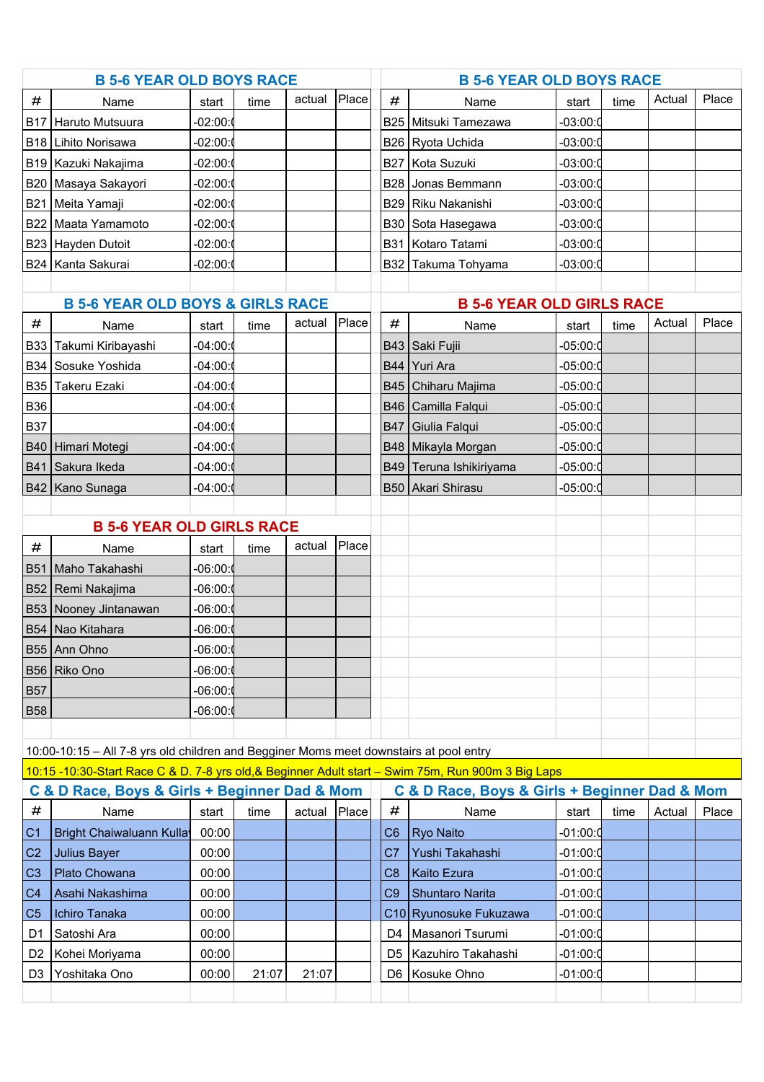|                                             | <b>B 5-6 YEAR OLD BOYS RACE</b>                                                        |            |       |        |       | <b>B 5-6 YEAR OLD BOYS RACE</b> |                                                                                                    |            |      |        |       |  |
|---------------------------------------------|----------------------------------------------------------------------------------------|------------|-------|--------|-------|---------------------------------|----------------------------------------------------------------------------------------------------|------------|------|--------|-------|--|
| #                                           | Name                                                                                   | start      | time  | actual | Place | #                               | Name                                                                                               | start      | time | Actual | Place |  |
| <b>B17</b>                                  | Haruto Mutsuura                                                                        | $-02:00:0$ |       |        |       |                                 | B25 Mitsuki Tamezawa                                                                               | $-03:00:0$ |      |        |       |  |
| <b>B18</b>                                  | Lihito Norisawa                                                                        | $-02:00:0$ |       |        |       |                                 | B26 Ryota Uchida                                                                                   | $-03:00:0$ |      |        |       |  |
|                                             | B19 Kazuki Nakajima                                                                    | $-02:00:0$ |       |        |       | <b>B27</b>                      | Kota Suzuki                                                                                        | $-03:00:0$ |      |        |       |  |
|                                             | B20   Masaya Sakayori                                                                  | $-02:00:0$ |       |        |       | <b>B28</b>                      | Jonas Bemmann                                                                                      | $-03:00:0$ |      |        |       |  |
| <b>B21</b>                                  | Meita Yamaji                                                                           | $-02:00:0$ |       |        |       | <b>B29</b>                      | Riku Nakanishi                                                                                     | $-03:00:0$ |      |        |       |  |
|                                             | B22 Maata Yamamoto                                                                     | $-02:00:$  |       |        |       |                                 | B30 Sota Hasegawa                                                                                  | $-03:00:0$ |      |        |       |  |
|                                             | B23 Hayden Dutoit                                                                      | $-02:00:0$ |       |        |       |                                 | B31 Kotaro Tatami                                                                                  | $-03:00:0$ |      |        |       |  |
|                                             | B24   Kanta Sakurai                                                                    | $-02:00:0$ |       |        |       |                                 | B32 Takuma Tohyama                                                                                 | $-03:00:0$ |      |        |       |  |
|                                             |                                                                                        |            |       |        |       |                                 |                                                                                                    |            |      |        |       |  |
| <b>B 5-6 YEAR OLD BOYS &amp; GIRLS RACE</b> |                                                                                        |            |       |        |       |                                 | <b>B 5-6 YEAR OLD GIRLS RACE</b>                                                                   |            |      |        |       |  |
| #                                           | Name                                                                                   | start      | time  | actual | Place | #                               | Name                                                                                               | start      | time | Actual | Place |  |
| B33                                         | Takumi Kiribayashi                                                                     | $-04:00:$  |       |        |       |                                 | B43 Saki Fujii                                                                                     | $-05:00:0$ |      |        |       |  |
|                                             | B34 Sosuke Yoshida                                                                     | $-04:00:0$ |       |        |       |                                 | B44 Yuri Ara                                                                                       | $-05:00:0$ |      |        |       |  |
| <b>B35</b>                                  | Takeru Ezaki                                                                           | $-04:00:$  |       |        |       |                                 | B45 Chiharu Majima                                                                                 | $-05:00:0$ |      |        |       |  |
| <b>B36</b>                                  |                                                                                        | $-04:00:0$ |       |        |       |                                 | B46 Camilla Falqui                                                                                 | $-05:00:0$ |      |        |       |  |
| <b>B37</b>                                  |                                                                                        | $-04:00:0$ |       |        |       | <b>B47</b>                      | Giulia Falqui                                                                                      | $-05:00:0$ |      |        |       |  |
|                                             | B40 Himari Motegi                                                                      | $-04:00:0$ |       |        |       |                                 | B48 Mikayla Morgan                                                                                 | $-05:00:0$ |      |        |       |  |
|                                             | B41 Sakura Ikeda                                                                       | $-04:00:0$ |       |        |       | <b>B49</b>                      | Teruna Ishikiriyama                                                                                | $-05:00:0$ |      |        |       |  |
|                                             | B42   Kano Sunaga                                                                      | $-04:00:0$ |       |        |       |                                 | B50 Akari Shirasu                                                                                  | $-05:00:0$ |      |        |       |  |
|                                             |                                                                                        |            |       |        |       |                                 |                                                                                                    |            |      |        |       |  |
|                                             | <b>B 5-6 YEAR OLD GIRLS RACE</b>                                                       |            |       |        |       |                                 |                                                                                                    |            |      |        |       |  |
| #                                           | Name                                                                                   | start      | time  | actual | Place |                                 |                                                                                                    |            |      |        |       |  |
|                                             | B51   Maho Takahashi                                                                   | $-06:00:$  |       |        |       |                                 |                                                                                                    |            |      |        |       |  |
|                                             | B52 Remi Nakajima                                                                      | $-06:00:$  |       |        |       |                                 |                                                                                                    |            |      |        |       |  |
|                                             | B53 Nooney Jintanawan                                                                  | $-06:00:$  |       |        |       |                                 |                                                                                                    |            |      |        |       |  |
|                                             | B54 Nao Kitahara                                                                       | $-06:00:$  |       |        |       |                                 |                                                                                                    |            |      |        |       |  |
|                                             | B55 Ann Ohno                                                                           | -06:00:1   |       |        |       |                                 |                                                                                                    |            |      |        |       |  |
|                                             | B56 Riko Ono                                                                           | $-06:00:$  |       |        |       |                                 |                                                                                                    |            |      |        |       |  |
| <b>B57</b>                                  |                                                                                        | $-06:00:$  |       |        |       |                                 |                                                                                                    |            |      |        |       |  |
| <b>B58</b>                                  |                                                                                        | $-06:00:$  |       |        |       |                                 |                                                                                                    |            |      |        |       |  |
|                                             |                                                                                        |            |       |        |       |                                 |                                                                                                    |            |      |        |       |  |
|                                             | 10:00-10:15 - All 7-8 yrs old children and Begginer Moms meet downstairs at pool entry |            |       |        |       |                                 |                                                                                                    |            |      |        |       |  |
|                                             |                                                                                        |            |       |        |       |                                 | 10:15 -10:30-Start Race C & D. 7-8 yrs old, & Beginner Adult start - Swim 75m, Run 900m 3 Big Laps |            |      |        |       |  |
|                                             | C & D Race, Boys & Girls + Beginner Dad & Mom                                          |            |       |        |       |                                 | C & D Race, Boys & Girls + Beginner Dad & Mom                                                      |            |      |        |       |  |
| $\#$                                        | Name                                                                                   | start      | time  | actual | Place | #                               | Name                                                                                               | start      | time | Actual | Place |  |
| C <sub>1</sub>                              | <b>Bright Chaiwaluann Kullay</b>                                                       | 00:00      |       |        |       | C6                              | <b>Ryo Naito</b>                                                                                   | -01:00:0   |      |        |       |  |
| C <sub>2</sub>                              | Julius Bayer                                                                           | 00:00      |       |        |       | C <sub>7</sub>                  | Yushi Takahashi                                                                                    | $-01:00:0$ |      |        |       |  |
| C <sub>3</sub>                              | Plato Chowana                                                                          | 00:00      |       |        |       | C <sub>8</sub>                  | <b>Kaito Ezura</b>                                                                                 | -01:00:0   |      |        |       |  |
| C <sub>4</sub>                              | Asahi Nakashima                                                                        | 00:00      |       |        |       | C <sub>9</sub>                  | <b>Shuntaro Narita</b>                                                                             | $-01:00:0$ |      |        |       |  |
| C <sub>5</sub>                              | Ichiro Tanaka                                                                          | 00:00      |       |        |       |                                 | C10 Ryunosuke Fukuzawa                                                                             | $-01:00:0$ |      |        |       |  |
| D1                                          | Satoshi Ara                                                                            | 00:00      |       |        |       | D4                              | Masanori Tsurumi                                                                                   | $-01:00:0$ |      |        |       |  |
| D <sub>2</sub>                              | Kohei Moriyama                                                                         | 00:00      |       |        |       | D5                              | Kazuhiro Takahashi                                                                                 | $-01:00:0$ |      |        |       |  |
| D <sub>3</sub>                              | Yoshitaka Ono                                                                          | 00:00      | 21:07 | 21:07  |       |                                 | D6 Kosuke Ohno                                                                                     | $-01:00:0$ |      |        |       |  |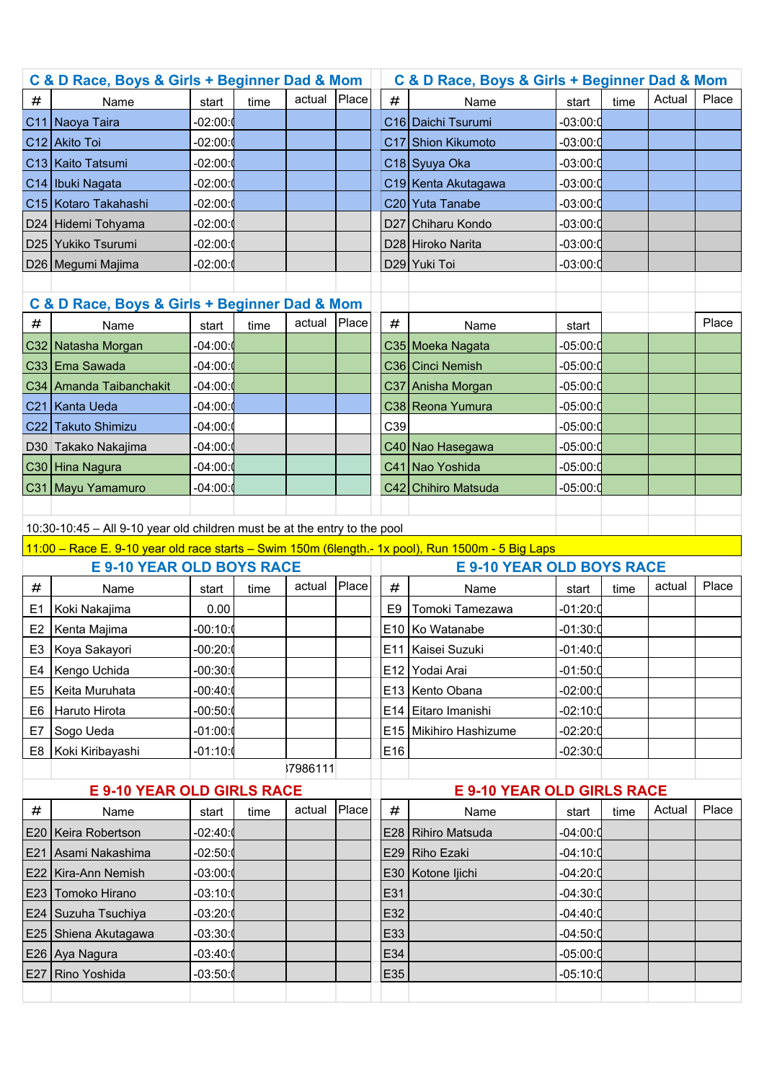| C & D Race, Boys & Girls + Beginner Dad & Mom                                                     |                                                                           |            |      |          | C & D Race, Boys & Girls + Beginner Dad & Mom |      |                                   |            |      |        |       |
|---------------------------------------------------------------------------------------------------|---------------------------------------------------------------------------|------------|------|----------|-----------------------------------------------|------|-----------------------------------|------------|------|--------|-------|
| #                                                                                                 | Name                                                                      | start      | time | actual   | Place                                         | #    | Name                              | start      | time | Actual | Place |
|                                                                                                   | C11 Naoya Taira                                                           | $-02:00:$  |      |          |                                               |      | C <sub>16</sub> Daichi Tsurumi    | $-03:00:0$ |      |        |       |
|                                                                                                   | C <sub>12</sub> Akito Toi                                                 | -02:00:0   |      |          |                                               |      | C17 Shion Kikumoto                | $-03:00:0$ |      |        |       |
|                                                                                                   | C13   Kaito Tatsumi                                                       | -02:00:0   |      |          |                                               |      | C <sub>18</sub> Syuya Oka         | $-03:00:0$ |      |        |       |
|                                                                                                   | C14   Ibuki Nagata                                                        | $-02:00:0$ |      |          |                                               |      | C19 Kenta Akutagawa               | $-03:00:0$ |      |        |       |
|                                                                                                   | C <sub>15</sub> Kotaro Takahashi                                          | -02:00:0   |      |          |                                               |      | C20 Yuta Tanabe                   | $-03:00:0$ |      |        |       |
|                                                                                                   | D24 Hidemi Tohyama                                                        | -02:00:0   |      |          |                                               |      | D27 Chiharu Kondo                 | $-03:00:0$ |      |        |       |
|                                                                                                   | D25 Yukiko Tsurumi                                                        | $-02:00:$  |      |          |                                               |      | D28 Hiroko Narita                 | $-03:00:0$ |      |        |       |
|                                                                                                   | D26   Megumi Majima                                                       | -02:00:≬   |      |          |                                               |      | D29 Yuki Toi                      | $-03:00:0$ |      |        |       |
|                                                                                                   |                                                                           |            |      |          |                                               |      |                                   |            |      |        |       |
|                                                                                                   | C & D Race, Boys & Girls + Beginner Dad & Mom                             |            |      |          |                                               |      |                                   |            |      |        |       |
| #                                                                                                 | Name                                                                      | start      | time | actual   | Place                                         | #    | Name                              | start      |      |        | Place |
|                                                                                                   | C32 Natasha Morgan                                                        | -04:00:(   |      |          |                                               |      | C35 Moeka Nagata                  | $-05:00:0$ |      |        |       |
|                                                                                                   | C33 Ema Sawada                                                            | -04:00:0   |      |          |                                               |      | C <sub>36</sub> Cinci Nemish      | $-05:00:0$ |      |        |       |
|                                                                                                   | C34 Amanda Taibanchakit                                                   | -04:00:0   |      |          |                                               |      | C37 Anisha Morgan                 | $-05:00:0$ |      |        |       |
|                                                                                                   | C <sub>21</sub> Kanta Ueda                                                | -04:00:0   |      |          |                                               |      | C38 Reona Yumura                  | $-05:00:0$ |      |        |       |
|                                                                                                   | C22 Takuto Shimizu                                                        | -04:00:0   |      |          |                                               | C39  |                                   | -05:00:0   |      |        |       |
|                                                                                                   | D30 Takako Nakajima                                                       | $-04:00:0$ |      |          |                                               |      | C40 Nao Hasegawa                  | $-05:00:0$ |      |        |       |
|                                                                                                   | C30 Hina Nagura                                                           | -04:00:0   |      |          |                                               |      | C41 Nao Yoshida                   | $-05:00:0$ |      |        |       |
|                                                                                                   | C31 Mayu Yamamuro                                                         | -04:00:0   |      |          |                                               |      | C42 Chihiro Matsuda               | -05:00:0   |      |        |       |
|                                                                                                   |                                                                           |            |      |          |                                               |      |                                   |            |      |        |       |
|                                                                                                   | 10:30-10:45 - All 9-10 year old children must be at the entry to the pool |            |      |          |                                               |      |                                   |            |      |        |       |
| 11:00 - Race E. 9-10 year old race starts - Swim 150m (6length.- 1x pool), Run 1500m - 5 Big Laps |                                                                           |            |      |          |                                               |      |                                   |            |      |        |       |
|                                                                                                   |                                                                           |            |      |          |                                               |      |                                   |            |      |        |       |
|                                                                                                   | <b>E 9-10 YEAR OLD BOYS RACE</b>                                          |            |      |          |                                               |      | <b>E 9-10 YEAR OLD BOYS RACE</b>  |            |      |        |       |
| #                                                                                                 | Name                                                                      | start      | time | actual   | Place                                         | $\#$ | Name                              | start      | time | actual | Place |
| E1                                                                                                | Koki Nakajima                                                             | 0.00       |      |          |                                               | E9   | Tomoki Tamezawa                   | $-01:20:0$ |      |        |       |
|                                                                                                   | E2   Kenta Majima                                                         | -00:10:0   |      |          |                                               |      | E10 Ko Watanabe                   | $-01:30:0$ |      |        |       |
|                                                                                                   | E3   Koya Sakayori                                                        | -00:20:1   |      |          |                                               |      | E11   Kaisei Suzuki               | -01:40:0   |      |        |       |
| E4                                                                                                | Kengo Uchida                                                              | $-00:30:0$ |      |          |                                               |      | E12 Yodai Arai                    | $-01:50:0$ |      |        |       |
| E5                                                                                                | Keita Muruhata                                                            | $-00:40:0$ |      |          |                                               |      | E13 Kento Obana                   | $-02:00:0$ |      |        |       |
| E6                                                                                                | Haruto Hirota                                                             | $-00:50:0$ |      |          |                                               |      | E14 Eitaro Imanishi               | $-02:10:0$ |      |        |       |
| E7                                                                                                | Sogo Ueda                                                                 | $-01:00:0$ |      |          |                                               |      | E15 Mikihiro Hashizume            | $-02:20:0$ |      |        |       |
| E8                                                                                                | Koki Kiribayashi                                                          | -01:10:0   |      |          |                                               | E16  |                                   | $-02:30:0$ |      |        |       |
|                                                                                                   |                                                                           |            |      | 37986111 |                                               |      |                                   |            |      |        |       |
|                                                                                                   | <b>E 9-10 YEAR OLD GIRLS RACE</b>                                         |            |      |          |                                               |      | <b>E 9-10 YEAR OLD GIRLS RACE</b> |            |      |        |       |
| #                                                                                                 | Name                                                                      | start      | time | actual   | Place                                         | #    | Name                              | start      | time | Actual | Place |
|                                                                                                   | E20   Keira Robertson                                                     | $-02:40:0$ |      |          |                                               |      | E28 Rihiro Matsuda                | $-04:00:0$ |      |        |       |
|                                                                                                   | E21 Asami Nakashima                                                       | -02:50:0   |      |          |                                               | E29  | Riho Ezaki                        | -04:10:0   |      |        |       |
|                                                                                                   | E22   Kira-Ann Nemish                                                     | -03:00:0   |      |          |                                               | E30  | Kotone ljichi                     | $-04:20:0$ |      |        |       |
|                                                                                                   | E23 Tomoko Hirano                                                         | $-03:10:0$ |      |          |                                               | E31  |                                   | $-04:30:0$ |      |        |       |
|                                                                                                   | E24 Suzuha Tsuchiya                                                       | -03:20:0   |      |          |                                               | E32  |                                   | -04:40:0   |      |        |       |
|                                                                                                   | E25 Shiena Akutagawa                                                      | $-03:30:0$ |      |          |                                               | E33  |                                   | $-04:50:0$ |      |        |       |
|                                                                                                   | E26 Aya Nagura                                                            | $-03:40:0$ |      |          |                                               | E34  |                                   | $-05:00:0$ |      |        |       |
|                                                                                                   | E27 Rino Yoshida                                                          | -03:50:(   |      |          |                                               | E35  |                                   | $-05:10:0$ |      |        |       |